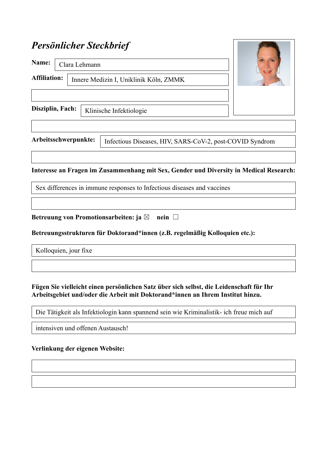# *Persönlicher Steckbrief*

| Name:                | Clara Lehmann |                                        |                                                          |  |
|----------------------|---------------|----------------------------------------|----------------------------------------------------------|--|
| <b>Affiliation:</b>  |               | Innere Medizin I, Uniklinik Köln, ZMMK |                                                          |  |
| Disziplin, Fach:     |               | Klinische Infektiologie                |                                                          |  |
|                      |               |                                        |                                                          |  |
| Arbeitsschwerpunkte: |               |                                        | Infectious Diseases, HIV, SARS-CoV-2, post-COVID Syndrom |  |

**STANDARD STANDARD STANDARD** 

## **Interesse an Fragen im Zusammenhang mit Sex, Gender und Diversity in Medical Research:**

Sex differences in immune responses to Infectious diseases and vaccines

infectious diseases

**Betreuung von Promotionsarbeiten: ja ⊠ nein □** 

#### **Betreuungsstrukturen für Doktorand\*innen (z.B. regelmäßig Kolloquien etc.):**

Kolloquien, jour fixe

intensiven und

#### **Fügen Sie vielleicht einen persönlichen Satz über sich selbst, die Leidenschaft für Ihr Arbeitsgebiet und/oder die Arbeit mit Doktorand\*innen an Ihrem Institut hinzu.**

Die Tätigkeit als Infektiologin kann spannend sein wie Kriminalistik- ich freue mich auf

intensiven und offenen Austausch!

#### **Verlinkung der eigenen Website:**